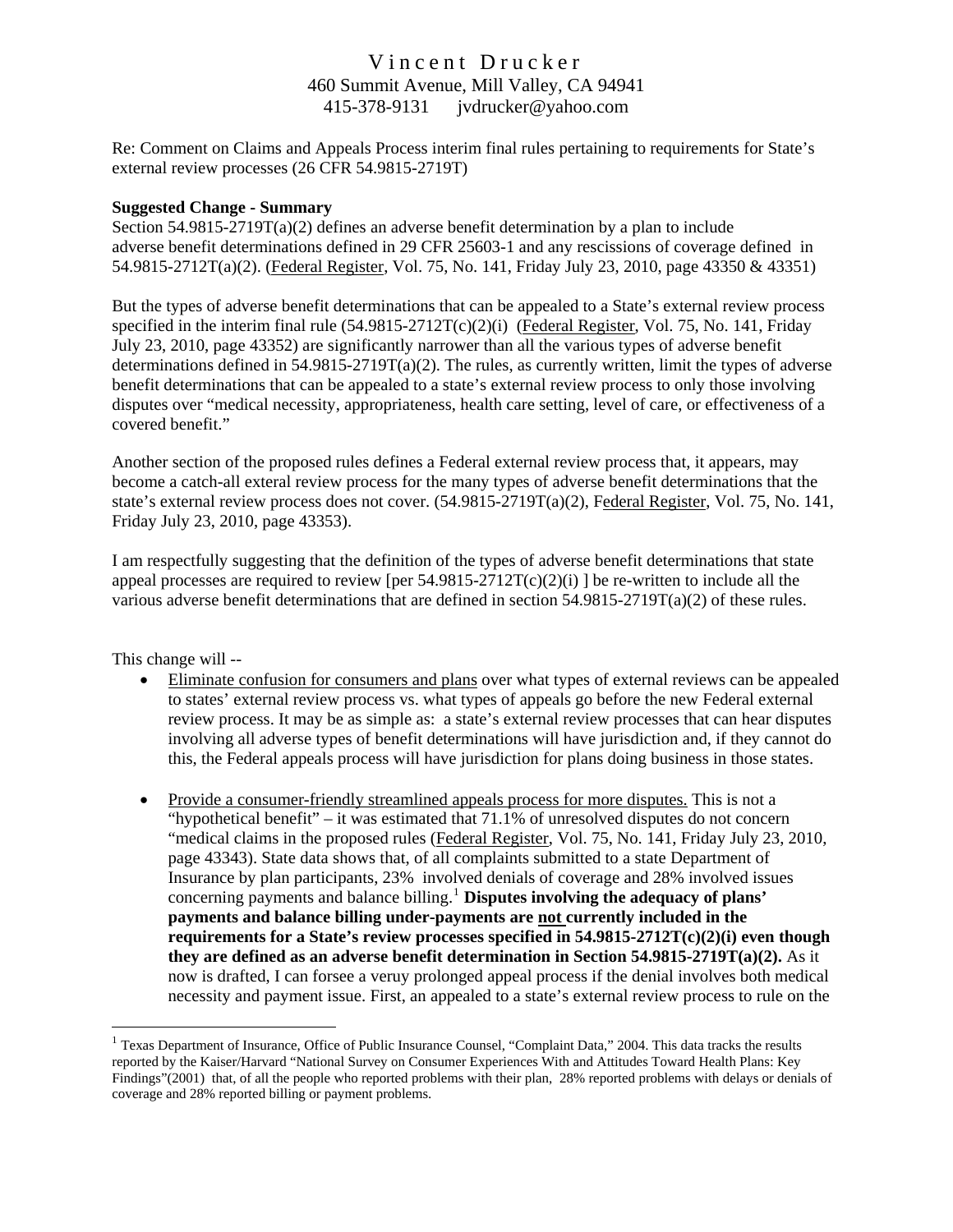# Vincent Drucker 460 Summit Avenue, Mill Valley, CA 94941 415-378-9131 [jvdrucker@yahoo.com](mailto:jvdrucker@yahoo.com)

Re: Comment on Claims and Appeals Process interim final rules pertaining to requirements for State's external review processes (26 CFR 54.9815-2719T)

#### **Suggested Change - Summary**

Section  $54.9815-2719T(a)(2)$  defines an adverse benefit determination by a plan to include adverse benefit determinations defined in 29 CFR 25603-1 and any rescissions of coverage defined in 54.9815-2712T(a)(2). (Federal Register, Vol. 75, No. 141, Friday July 23, 2010, page 43350 & 43351)

But the types of adverse benefit determinations that can be appealed to a State's external review process specified in the interim final rule (54.9815-2712T(c)(2)(i) (Federal Register, Vol. 75, No. 141, Friday July 23, 2010, page 43352) are significantly narrower than all the various types of adverse benefit determinations defined in  $54.9815-2719T(a)(2)$ . The rules, as currently written, limit the types of adverse benefit determinations that can be appealed to a state's external review process to only those involving disputes over "medical necessity, appropriateness, health care setting, level of care, or effectiveness of a covered benefit."

Another section of the proposed rules defines a Federal external review process that, it appears, may become a catch-all exteral review process for the many types of adverse benefit determinations that the state's external review process does not cover. (54.9815-2719T(a)(2), Federal Register, Vol. 75, No. 141, Friday July 23, 2010, page 43353).

I am respectfully suggesting that the definition of the types of adverse benefit determinations that state appeal processes are required to review [per  $54.9815-2712T(c)(2)(i)$ ] be re-written to include all the various adverse benefit determinations that are defined in section 54.9815-2719T(a)(2) of these rules.

This change will --

 $\overline{a}$ 

- Eliminate confusion for consumers and plans over what types of external reviews can be appealed to states' external review process vs. what types of appeals go before the new Federal external review process. It may be as simple as: a state's external review processes that can hear disputes involving all adverse types of benefit determinations will have jurisdiction and, if they cannot do this, the Federal appeals process will have jurisdiction for plans doing business in those states.
- Provide a consumer-friendly streamlined appeals process for more disputes. This is not a "hypothetical benefit" – it was estimated that  $71.1\%$  of unresolved disputes do not concern "medical claims in the proposed rules (Federal Register, Vol. 75, No. 141, Friday July 23, 2010, page 43343). State data shows that, of all complaints submitted to a state Department of Insurance by plan participants, 23% involved denials of coverage and 28% involved issues concerning payments and balance billing.<sup>[1](#page-0-0)</sup> **Disputes involving the adequacy of plans' payments and balance billing under-payments are not currently included in the requirements for a State's review processes specified in 54.9815-2712T(c)(2)(i) even though they are defined as an adverse benefit determination in Section 54.9815-2719T(a)(2).** As it now is drafted, I can forsee a veruy prolonged appeal process if the denial involves both medical necessity and payment issue. First, an appealed to a state's external review process to rule on the

<span id="page-0-0"></span><sup>&</sup>lt;sup>1</sup> Texas Department of Insurance, Office of Public Insurance Counsel, "Complaint Data," 2004. This data tracks the results reported by the Kaiser/Harvard "National Survey on Consumer Experiences With and Attitudes Toward Health Plans: Key Findings"(2001) that, of all the people who reported problems with their plan, 28% reported problems with delays or denials of coverage and 28% reported billing or payment problems.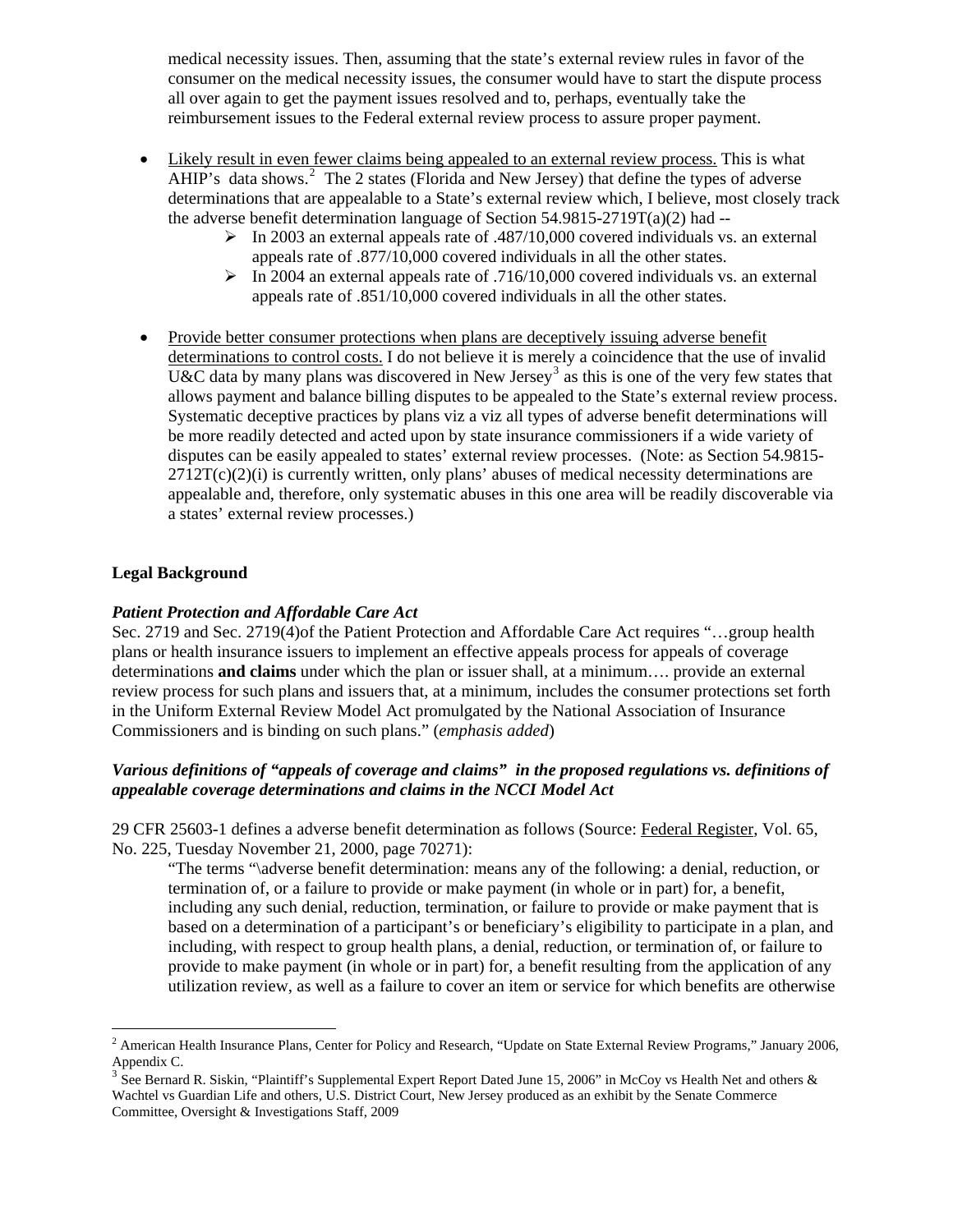medical necessity issues. Then, assuming that the state's external review rules in favor of the consumer on the medical necessity issues, the consumer would have to start the dispute process all over again to get the payment issues resolved and to, perhaps, eventually take the reimbursement issues to the Federal external review process to assure proper payment.

- Likely result in even fewer claims being appealed to an external review process. This is what AHIP's data shows.<sup>[2](#page-1-0)</sup> The 2 states (Florida and New Jersey) that define the types of adverse determinations that are appealable to a State's external review which, I believe, most closely track the adverse benefit determination language of Section  $54.9815-2719T(a)(2)$  had  $-$ 
	- $\triangleright$  In 2003 an external appeals rate of .487/10,000 covered individuals vs. an external appeals rate of .877/10,000 covered individuals in all the other states.
	- $\triangleright$  In 2004 an external appeals rate of .716/10,000 covered individuals vs. an external appeals rate of .851/10,000 covered individuals in all the other states.
- Provide better consumer protections when plans are deceptively issuing adverse benefit determinations to control costs. I do not believe it is merely a coincidence that the use of invalid U&C data by many plans was discovered in New Jersey<sup>[3](#page-1-1)</sup> as this is one of the very few states that allows payment and balance billing disputes to be appealed to the State's external review process. Systematic deceptive practices by plans viz a viz all types of adverse benefit determinations will be more readily detected and acted upon by state insurance commissioners if a wide variety of disputes can be easily appealed to states' external review processes. (Note: as Section 54.9815-  $2712T(c)(2)(i)$  is currently written, only plans' abuses of medical necessity determinations are appealable and, therefore, only systematic abuses in this one area will be readily discoverable via a states' external review processes.)

# **Legal Background**

 $\overline{a}$ 

## *Patient Protection and Affordable Care Act*

Sec. 2719 and Sec. 2719(4)of the Patient Protection and Affordable Care Act requires "…group health plans or health insurance issuers to implement an effective appeals process for appeals of coverage determinations **and claims** under which the plan or issuer shall, at a minimum…. provide an external review process for such plans and issuers that, at a minimum, includes the consumer protections set forth in the Uniform External Review Model Act promulgated by the National Association of Insurance Commissioners and is binding on such plans." (*emphasis added*)

# *Various definitions of "appeals of coverage and claims" in the proposed regulations vs. definitions of appealable coverage determinations and claims in the NCCI Model Act*

29 CFR 25603-1 defines a adverse benefit determination as follows (Source: Federal Register, Vol. 65, No. 225, Tuesday November 21, 2000, page 70271):

"The terms "\adverse benefit determination: means any of the following: a denial, reduction, or termination of, or a failure to provide or make payment (in whole or in part) for, a benefit, including any such denial, reduction, termination, or failure to provide or make payment that is based on a determination of a participant's or beneficiary's eligibility to participate in a plan, and including, with respect to group health plans, a denial, reduction, or termination of, or failure to provide to make payment (in whole or in part) for, a benefit resulting from the application of any utilization review, as well as a failure to cover an item or service for which benefits are otherwise

<span id="page-1-0"></span><sup>&</sup>lt;sup>2</sup> American Health Insurance Plans, Center for Policy and Research, "Update on State External Review Programs," January 2006, Appendix C.

<span id="page-1-1"></span><sup>&</sup>lt;sup>3</sup> See Bernard R. Siskin, "Plaintiff's Supplemental Expert Report Dated June 15, 2006" in McCoy vs Health Net and others & Wachtel vs Guardian Life and others, U.S. District Court, New Jersey produced as an exhibit by the Senate Commerce Committee, Oversight & Investigations Staff, 2009